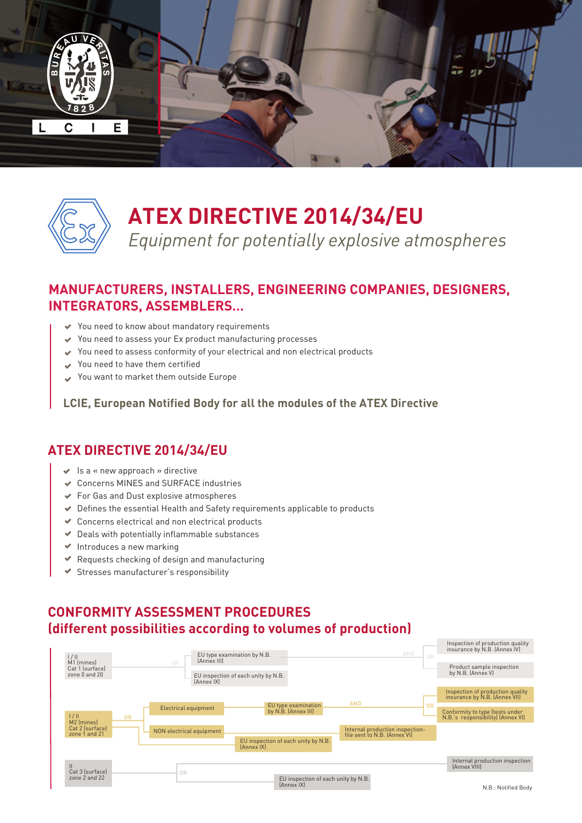



# **ATEX DIRECTIVE 2014/34/EU**

*Equipment for potentially explosive atmospheres*

# **MANUFACTURERS, INSTALLERS, ENGINEERING COMPANIES, DESIGNERS, INTEGRATORS, ASSEMBLERS…**

- You need to know about mandatory requirements
- You need to assess your Ex product manufacturing processes
- You need to assess conformity of your electrical and non electrical products
- You need to have them certified
- You want to market them outside Europe

**LCIE, European Notified Body for all the modules of the ATEX Directive**

### **ATEX DIRECTIVE 2014/34/EU**

- $\blacktriangleright$  Is a « new approach » directive
- Concerns MINES and SURFACE industries
- For Gas and Dust explosive atmospheres
- Defines the essential Health and Safety requirements applicable to products
- Concerns electrical and non electrical products
- $\blacktriangleright$  Deals with potentially inflammable substances
- $\blacktriangleright$  Introduces a new marking
- $\blacktriangleright$  Requests checking of design and manufacturing
- Stresses manufacturer's responsibility

# **CONFORMITY ASSESSMENT PROCEDURES (different possibilities according to volumes of production)**